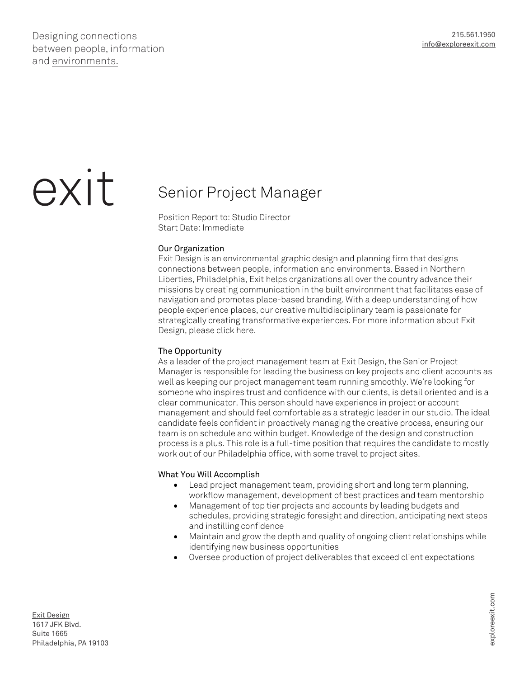Designing connections between people, information and environments.

# exit

## Senior Project Manager

Position Report to: Studio Director Start Date: Immediate

#### Our Organization

Exit Design is an environmental graphic design and planning firm that designs connections between people, information and environments. Based in Northern Liberties, Philadelphia, Exit helps organizations all over the country advance their missions by creating communication in the built environment that facilitates ease of navigation and promotes place-based branding. With a deep understanding of how people experience places, our creative multidisciplinary team is passionate for strategically creating transformative experiences. For more information about Exit Design, please click here.

### The Opportunity

As a leader of the project management team at Exit Design, the Senior Project Manager is responsible for leading the business on key projects and client accounts as well as keeping our project management team running smoothly. We're looking for someone who inspires trust and confidence with our clients, is detail oriented and is a clear communicator. This person should have experience in project or account management and should feel comfortable as a strategic leader in our studio. The ideal candidate feels confident in proactively managing the creative process, ensuring our team is on schedule and within budget. Knowledge of the design and construction process is a plus. This role is a full-time position that requires the candidate to mostly work out of our Philadelphia office, with some travel to project sites.

#### What You Will Accomplish

- Lead project management team, providing short and long term planning, workflow management, development of best practices and team mentorship
- Management of top tier projects and accounts by leading budgets and schedules, providing strategic foresight and direction, anticipating next steps and instilling confidence
- Maintain and grow the depth and quality of ongoing client relationships while identifying new business opportunities
- Oversee production of project deliverables that exceed client expectations

Exit Design 1617 JFK Blvd. Suite 1665 Philadelphia, PA 19103